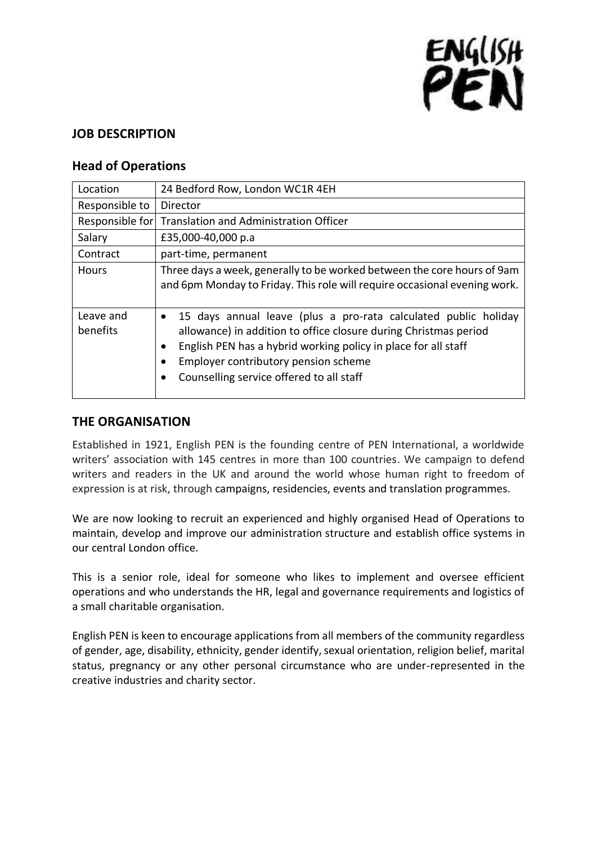

## **JOB DESCRIPTION**

## **Head of Operations**

| Location              | 24 Bedford Row, London WC1R 4EH                                                                                                                                                                                                                                                           |
|-----------------------|-------------------------------------------------------------------------------------------------------------------------------------------------------------------------------------------------------------------------------------------------------------------------------------------|
| Responsible to        | Director                                                                                                                                                                                                                                                                                  |
| Responsible for       | <b>Translation and Administration Officer</b>                                                                                                                                                                                                                                             |
| Salary                | £35,000-40,000 p.a                                                                                                                                                                                                                                                                        |
| Contract              | part-time, permanent                                                                                                                                                                                                                                                                      |
| <b>Hours</b>          | Three days a week, generally to be worked between the core hours of 9am<br>and 6pm Monday to Friday. This role will require occasional evening work.                                                                                                                                      |
| Leave and<br>benefits | 15 days annual leave (plus a pro-rata calculated public holiday<br>allowance) in addition to office closure during Christmas period<br>English PEN has a hybrid working policy in place for all staff<br>Employer contributory pension scheme<br>Counselling service offered to all staff |

## **THE ORGANISATION**

Established in 1921, English PEN is the founding centre of PEN International, a worldwide writers' association with 145 centres in more than 100 countries. We campaign to defend writers and readers in the UK and around the world whose human right to freedom of expression is at risk, through campaigns, residencies, events and translation programmes.

We are now looking to recruit an experienced and highly organised Head of Operations to maintain, develop and improve our administration structure and establish office systems in our central London office.

This is a senior role, ideal for someone who likes to implement and oversee efficient operations and who understands the HR, legal and governance requirements and logistics of a small charitable organisation.

English PEN is keen to encourage applications from all members of the community regardless of gender, age, disability, ethnicity, gender identify, sexual orientation, religion belief, marital status, pregnancy or any other personal circumstance who are under-represented in the creative industries and charity sector.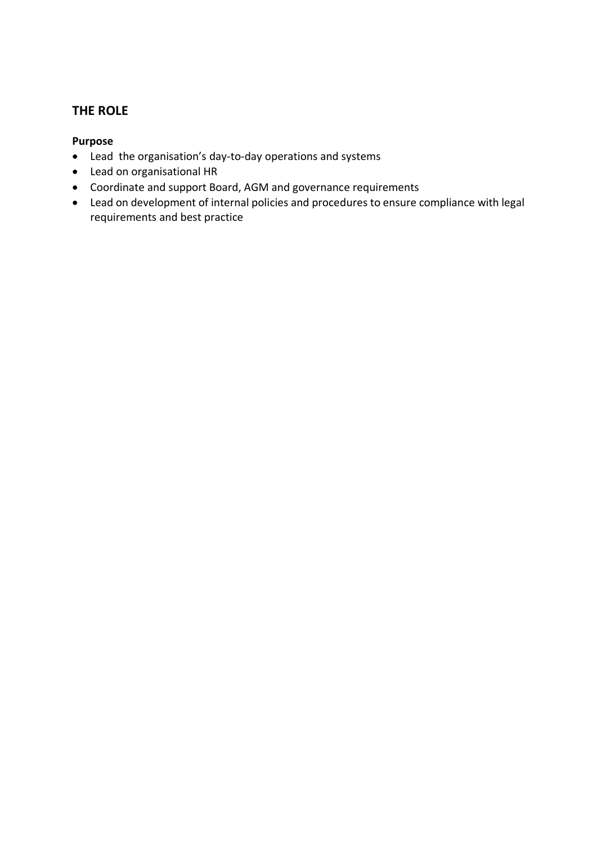# **THE ROLE**

## **Purpose**

- Lead the organisation's day-to-day operations and systems
- Lead on organisational HR
- Coordinate and support Board, AGM and governance requirements
- Lead on development of internal policies and procedures to ensure compliance with legal requirements and best practice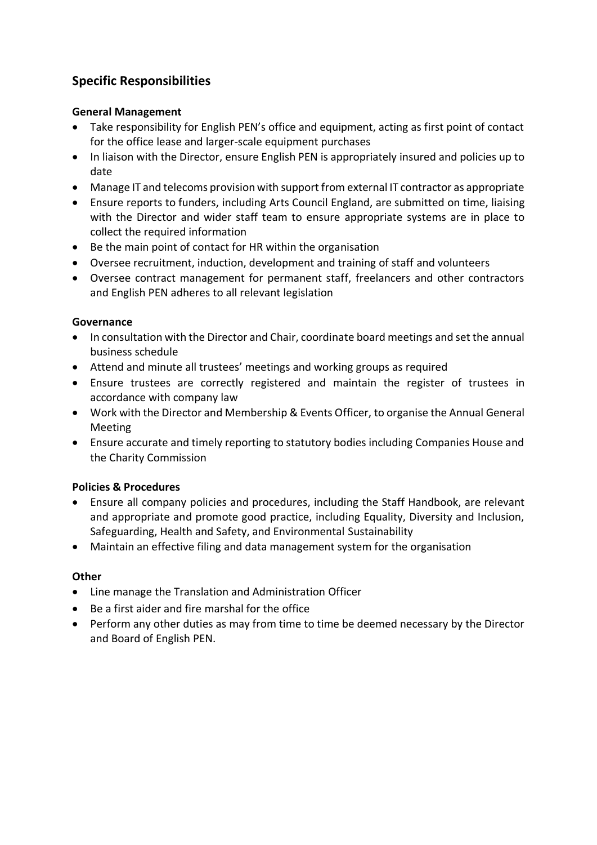# **Specific Responsibilities**

### **General Management**

- Take responsibility for English PEN's office and equipment, acting as first point of contact for the office lease and larger-scale equipment purchases
- In liaison with the Director, ensure English PEN is appropriately insured and policies up to date
- Manage IT and telecoms provision with support from external IT contractor as appropriate
- Ensure reports to funders, including Arts Council England, are submitted on time, liaising with the Director and wider staff team to ensure appropriate systems are in place to collect the required information
- Be the main point of contact for HR within the organisation
- Oversee recruitment, induction, development and training of staff and volunteers
- Oversee contract management for permanent staff, freelancers and other contractors and English PEN adheres to all relevant legislation

### **Governance**

- In consultation with the Director and Chair, coordinate board meetings and set the annual business schedule
- Attend and minute all trustees' meetings and working groups as required
- Ensure trustees are correctly registered and maintain the register of trustees in accordance with company law
- Work with the Director and Membership & Events Officer, to organise the Annual General Meeting
- Ensure accurate and timely reporting to statutory bodies including Companies House and the Charity Commission

## **Policies & Procedures**

- Ensure all company policies and procedures, including the Staff Handbook, are relevant and appropriate and promote good practice, including Equality, Diversity and Inclusion, Safeguarding, Health and Safety, and Environmental Sustainability
- Maintain an effective filing and data management system for the organisation

## **Other**

- Line manage the Translation and Administration Officer
- Be a first aider and fire marshal for the office
- Perform any other duties as may from time to time be deemed necessary by the Director and Board of English PEN.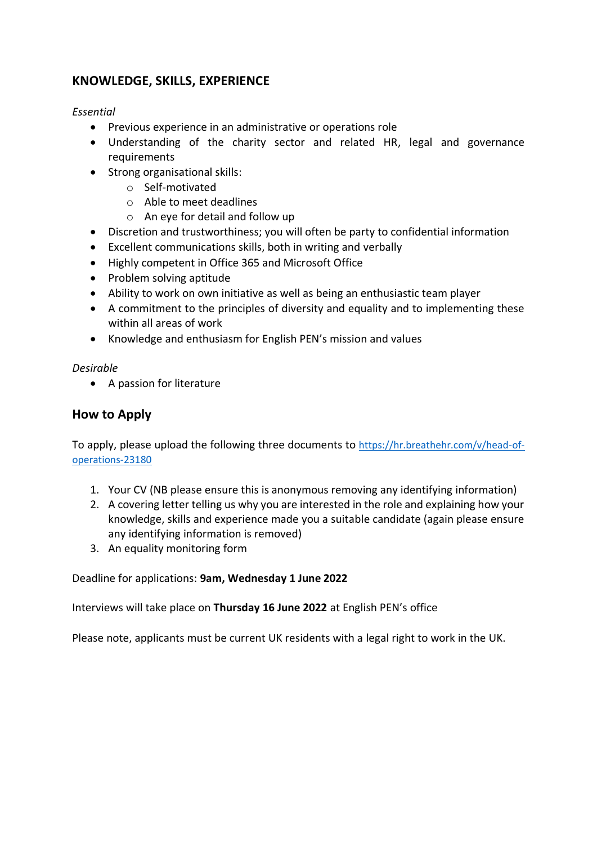## **KNOWLEDGE, SKILLS, EXPERIENCE**

*Essential*

- Previous experience in an administrative or operations role
- Understanding of the charity sector and related HR, legal and governance requirements
- Strong organisational skills:
	- o Self-motivated
	- o Able to meet deadlines
	- $\circ$  An eye for detail and follow up
- Discretion and trustworthiness; you will often be party to confidential information
- Excellent communications skills, both in writing and verbally
- Highly competent in Office 365 and Microsoft Office
- Problem solving aptitude
- Ability to work on own initiative as well as being an enthusiastic team player
- A commitment to the principles of diversity and equality and to implementing these within all areas of work
- Knowledge and enthusiasm for English PEN's mission and values

### *Desirable*

• A passion for literature

## **How to Apply**

To apply, please upload the following three documents to [https://hr.breathehr.com/v/head-of](https://hr.breathehr.com/v/head-of-operations-23180)[operations-23180](https://hr.breathehr.com/v/head-of-operations-23180)

- 1. Your CV (NB please ensure this is anonymous removing any identifying information)
- 2. A covering letter telling us why you are interested in the role and explaining how your knowledge, skills and experience made you a suitable candidate (again please ensure any identifying information is removed)
- 3. An equality monitoring form

## Deadline for applications: **9am, Wednesday 1 June 2022**

Interviews will take place on **Thursday 16 June 2022** at English PEN's office

Please note, applicants must be current UK residents with a legal right to work in the UK.